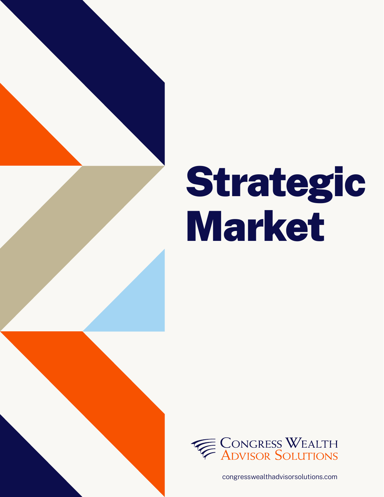

# Strategic Market



congresswealthadvisorsolutions.com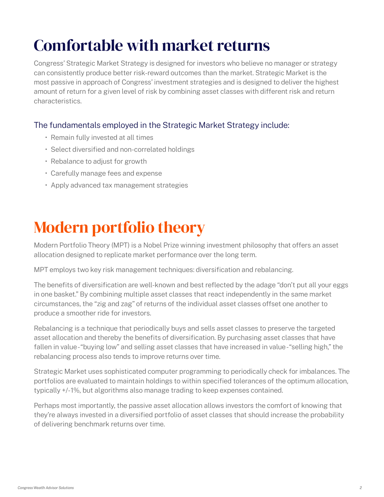## Comfortable with market returns

Congress' Strategic Market Strategy is designed for investors who believe no manager or strategy can consistently produce better risk-reward outcomes than the market. Strategic Market is the most passive in approach of Congress' investment strategies and is designed to deliver the highest amount of return for a given level of risk by combining asset classes with different risk and return characteristics.

#### The fundamentals employed in the Strategic Market Strategy include:

- Remain fully invested at all times
- Select diversified and non-correlated holdings
- Rebalance to adjust for growth
- Carefully manage fees and expense
- Apply advanced tax management strategies

### Modern portfolio theory

Modern Portfolio Theory (MPT) is a Nobel Prize winning investment philosophy that offers an asset allocation designed to replicate market performance over the long term.

MPT employs two key risk management techniques: diversification and rebalancing.

The benefits of diversification are well-known and best reflected by the adage "don't put all your eggs in one basket." By combining multiple asset classes that react independently in the same market circumstances, the "zig and zag" of returns of the individual asset classes offset one another to produce a smoother ride for investors.

Rebalancing is a technique that periodically buys and sells asset classes to preserve the targeted asset allocation and thereby the benefits of diversification. By purchasing asset classes that have fallen in value - "buying low" and selling asset classes that have increased in value - "selling high," the rebalancing process also tends to improve returns over time.

Strategic Market uses sophisticated computer programming to periodically check for imbalances. The portfolios are evaluated to maintain holdings to within specified tolerances of the optimum allocation, typically +/- 1%, but algorithms also manage trading to keep expenses contained.

Perhaps most importantly, the passive asset allocation allows investors the comfort of knowing that they're always invested in a diversified portfolio of asset classes that should increase the probability of delivering benchmark returns over time.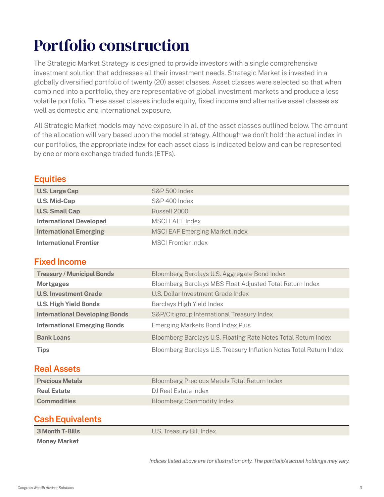### Portfolio construction

The Strategic Market Strategy is designed to provide investors with a single comprehensive investment solution that addresses all their investment needs. Strategic Market is invested in a globally diversified portfolio of twenty (20) asset classes. Asset classes were selected so that when combined into a portfolio, they are representative of global investment markets and produce a less volatile portfolio. These asset classes include equity, fixed income and alternative asset classes as well as domestic and international exposure.

All Strategic Market models may have exposure in all of the asset classes outlined below. The amount of the allocation will vary based upon the model strategy. Although we don't hold the actual index in our portfolios, the appropriate index for each asset class is indicated below and can be represented by one or more exchange traded funds (ETFs).

| ________                       |                                       |
|--------------------------------|---------------------------------------|
| <b>U.S. Large Cap</b>          | <b>S&amp;P 500 Index</b>              |
| <b>U.S. Mid-Cap</b>            | S&P 400 Index                         |
| <b>U.S. Small Cap</b>          | Russell 2000                          |
| <b>International Developed</b> | MSCI EAFE Index                       |
| <b>International Emerging</b>  | <b>MSCI EAF Emerging Market Index</b> |
| <b>International Frontier</b>  | <b>MSCI Frontier Index</b>            |

### **Equities**

#### **Fixed Income**

| <b>Treasury / Municipal Bonds</b>     | Bloomberg Barclays U.S. Aggregate Bond Index                        |
|---------------------------------------|---------------------------------------------------------------------|
| <b>Mortgages</b>                      | Bloomberg Barclays MBS Float Adjusted Total Return Index            |
| <b>U.S. Investment Grade</b>          | U.S. Dollar Investment Grade Index                                  |
| <b>U.S. High Yield Bonds</b>          | Barclays High Yield Index                                           |
| <b>International Developing Bonds</b> | S&P/Citigroup International Treasury Index                          |
| <b>International Emerging Bonds</b>   | Emerging Markets Bond Index Plus                                    |
| <b>Bank Loans</b>                     | Bloomberg Barclays U.S. Floating Rate Notes Total Return Index      |
| Tips                                  | Bloomberg Barclays U.S. Treasury Inflation Notes Total Return Index |

#### **Real Assets**

| <b>Precious Metals</b> | Bloomberg Precious Metals Total Return Index |
|------------------------|----------------------------------------------|
| <b>Real Estate</b>     | DJ Real Estate Index                         |
| <b>Commodities</b>     | <b>Bloomberg Commodity Index</b>             |

#### **Cash Equivalents**

**3 Month T-Bills** U.S. Treasury Bill Index

**Money Market**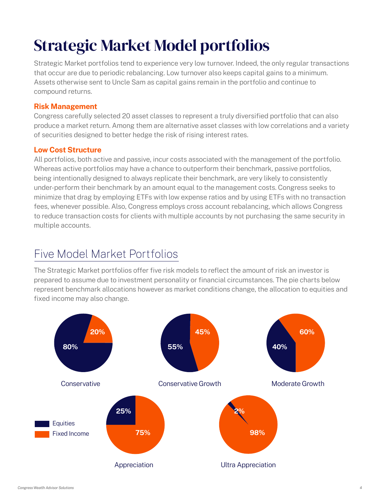# Strategic Market Model portfolios

Strategic Market portfolios tend to experience very low turnover. Indeed, the only regular transactions that occur are due to periodic rebalancing. Low turnover also keeps capital gains to a minimum. Assets otherwise sent to Uncle Sam as capital gains remain in the portfolio and continue to compound returns.

#### **Risk Management**

Congress carefully selected 20 asset classes to represent a truly diversified portfolio that can also produce a market return. Among them are alternative asset classes with low correlations and a variety of securities designed to better hedge the risk of rising interest rates.

#### **Low Cost Structure**

All portfolios, both active and passive, incur costs associated with the management of the portfolio. Whereas active portfolios may have a chance to outperform their benchmark, passive portfolios, being intentionally designed to always replicate their benchmark, are very likely to consistently under-perform their benchmark by an amount equal to the management costs. Congress seeks to minimize that drag by employing ETFs with low expense ratios and by using ETFs with no transaction fees, whenever possible. Also, Congress employs cross account rebalancing, which allows Congress to reduce transaction costs for clients with multiple accounts by not purchasing the same security in multiple accounts.

### Five Model Market Portfolios

The Strategic Market portfolios offer five risk models to reflect the amount of risk an investor is prepared to assume due to investment personality or financial circumstances. The pie charts below represent benchmark allocations however as market conditions change, the allocation to equities and fixed income may also change.

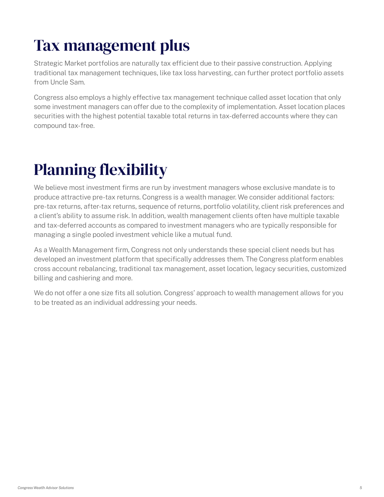## Tax management plus

Strategic Market portfolios are naturally tax efficient due to their passive construction. Applying traditional tax management techniques, like tax loss harvesting, can further protect portfolio assets from Uncle Sam.

Congress also employs a highly effective tax management technique called asset location that only some investment managers can offer due to the complexity of implementation. Asset location places securities with the highest potential taxable total returns in tax-deferred accounts where they can compound tax-free.

# Planning flexibility

We believe most investment firms are run by investment managers whose exclusive mandate is to produce attractive pre-tax returns. Congress is a wealth manager. We consider additional factors: pre-tax returns, after-tax returns, sequence of returns, portfolio volatility, client risk preferences and a client's ability to assume risk. In addition, wealth management clients often have multiple taxable and tax-deferred accounts as compared to investment managers who are typically responsible for managing a single pooled investment vehicle like a mutual fund.

As a Wealth Management firm, Congress not only understands these special client needs but has developed an investment platform that specifically addresses them. The Congress platform enables cross account rebalancing, traditional tax management, asset location, legacy securities, customized billing and cashiering and more.

We do not offer a one size fits all solution. Congress' approach to wealth management allows for you to be treated as an individual addressing your needs.